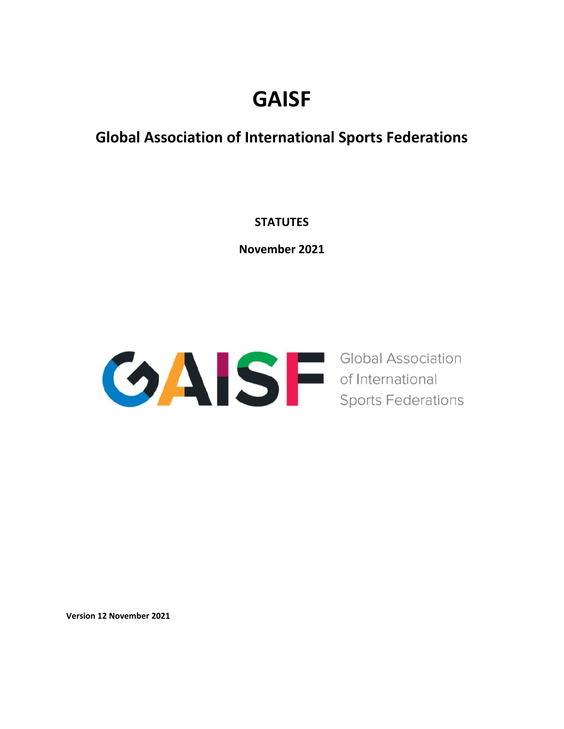# **GAISF**

## **Global Association of International Sports Federations**

## **STATUTES**

**November 2021**



**Version 12 November 2021**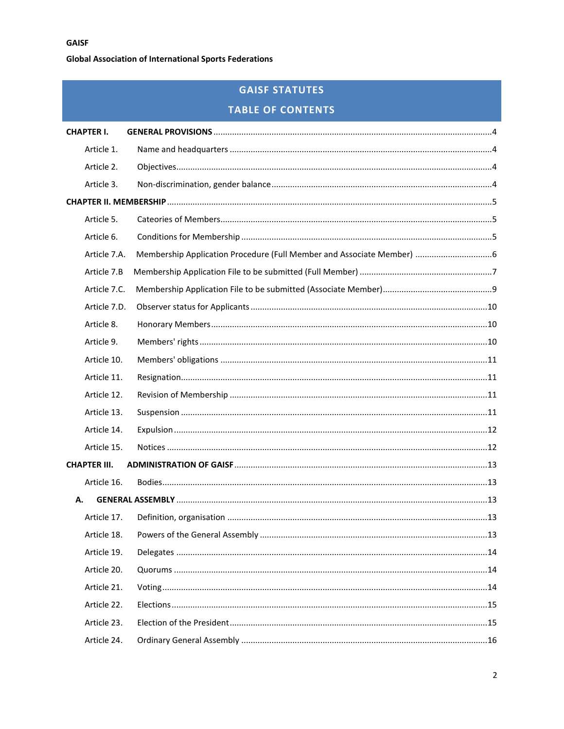## **GAISF STATUTES**

## **TABLE OF CONTENTS**

| <b>CHAPTER I.</b>   |  |     |  |
|---------------------|--|-----|--|
| Article 1.          |  |     |  |
| Article 2.          |  |     |  |
| Article 3.          |  |     |  |
|                     |  |     |  |
| Article 5.          |  |     |  |
| Article 6.          |  |     |  |
| Article 7.A.        |  |     |  |
| Article 7.B         |  |     |  |
| Article 7.C.        |  |     |  |
| Article 7.D.        |  |     |  |
| Article 8.          |  |     |  |
| Article 9.          |  |     |  |
| Article 10.         |  |     |  |
| Article 11.         |  |     |  |
| Article 12.         |  |     |  |
| Article 13.         |  |     |  |
| Article 14.         |  |     |  |
| Article 15.         |  |     |  |
| <b>CHAPTER III.</b> |  |     |  |
| Article 16.         |  |     |  |
| А.                  |  |     |  |
| Article 17.         |  |     |  |
| Article 18.         |  | .13 |  |
| Article 19.         |  |     |  |
| Article 20.         |  |     |  |
| Article 21.         |  |     |  |
| Article 22.         |  |     |  |
| Article 23.         |  |     |  |
| Article 24.         |  |     |  |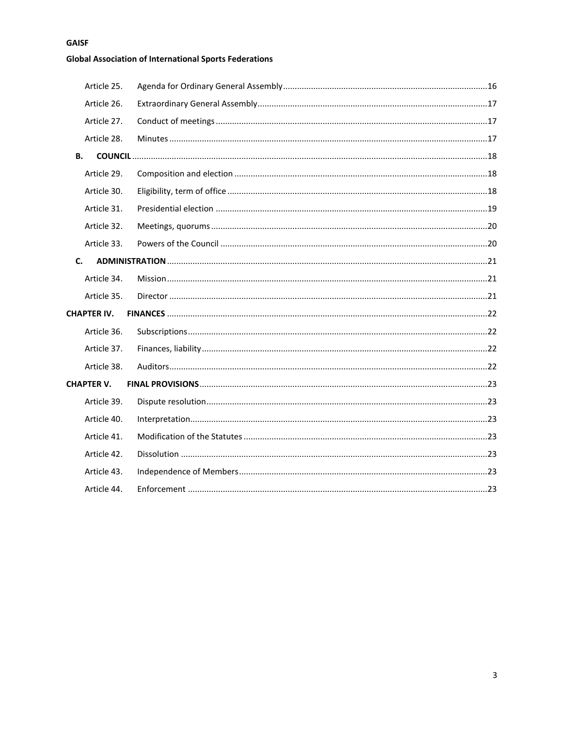## **GAISF**

## **Global Association of International Sports Federations**

| Article 25.        |  |  |
|--------------------|--|--|
| Article 26.        |  |  |
| Article 27.        |  |  |
| Article 28.        |  |  |
| В.                 |  |  |
| Article 29.        |  |  |
| Article 30.        |  |  |
| Article 31.        |  |  |
| Article 32.        |  |  |
| Article 33.        |  |  |
| C.                 |  |  |
| Article 34.        |  |  |
| Article 35.        |  |  |
| <b>CHAPTER IV.</b> |  |  |
| Article 36.        |  |  |
| Article 37.        |  |  |
| Article 38.        |  |  |
| <b>CHAPTER V.</b>  |  |  |
| Article 39.        |  |  |
| Article 40.        |  |  |
| Article 41.        |  |  |
| Article 42.        |  |  |
| Article 43.        |  |  |
| Article 44.        |  |  |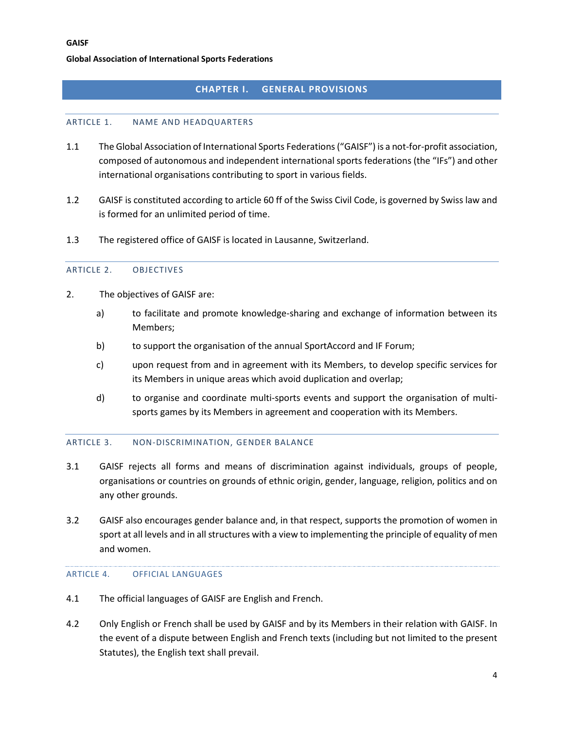#### **CHAPTER I. GENERAL PROVISIONS**

#### <span id="page-3-1"></span><span id="page-3-0"></span>ARTICLE 1. NAME AND HEADQUARTERS

- 1.1 The Global Association of International Sports Federations ("GAISF") is a not-for-profit association, composed of autonomous and independent international sports federations (the "IFs") and other international organisations contributing to sport in various fields.
- 1.2 GAISF is constituted according to article 60 ff of the Swiss Civil Code, is governed by Swiss law and is formed for an unlimited period of time.
- <span id="page-3-2"></span>1.3 The registered office of GAISF is located in Lausanne, Switzerland.

#### ARTICLE 2. OBJECTIVES

- 2. The objectives of GAISF are:
	- a) to facilitate and promote knowledge-sharing and exchange of information between its Members;
	- b) to support the organisation of the annual SportAccord and IF Forum;
	- c) upon request from and in agreement with its Members, to develop specific services for its Members in unique areas which avoid duplication and overlap;
	- d) to organise and coordinate multi-sports events and support the organisation of multisports games by its Members in agreement and cooperation with its Members.

#### <span id="page-3-3"></span>ARTICLE 3. NON-DISCRIMINATION, GENDER BALANCE

- 3.1 GAISF rejects all forms and means of discrimination against individuals, groups of people, organisations or countries on grounds of ethnic origin, gender, language, religion, politics and on any other grounds.
- 3.2 GAISF also encourages gender balance and, in that respect, supports the promotion of women in sport at all levels and in all structures with a view to implementing the principle of equality of men and women.

#### ARTICLE 4. OFFICIAL LANGUAGES

- 4.1 The official languages of GAISF are English and French.
- 4.2 Only English or French shall be used by GAISF and by its Members in their relation with GAISF. In the event of a dispute between English and French texts (including but not limited to the present Statutes), the English text shall prevail.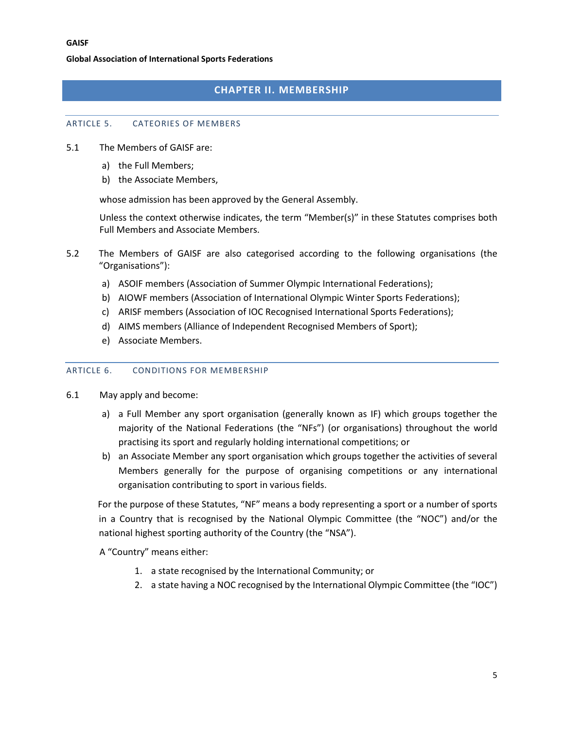## **CHAPTER II. MEMBERSHIP**

#### <span id="page-4-1"></span><span id="page-4-0"></span>ARTICLE 5. CATEORIES OF MEMBERS

- 5.1 The Members of GAISF are:
	- a) the Full Members;
	- b) the Associate Members,

whose admission has been approved by the General Assembly.

Unless the context otherwise indicates, the term "Member(s)" in these Statutes comprises both Full Members and Associate Members.

- 5.2 The Members of GAISF are also categorised according to the following organisations (the "Organisations"):
	- a) ASOIF members (Association of Summer Olympic International Federations);
	- b) AIOWF members (Association of International Olympic Winter Sports Federations);
	- c) ARISF members (Association of IOC Recognised International Sports Federations);
	- d) AIMS members (Alliance of Independent Recognised Members of Sport);
	- e) Associate Members.

#### <span id="page-4-2"></span>ARTICLE 6. CONDITIONS FOR MEMBERSHIP

- 6.1 May apply and become:
	- a) a Full Member any sport organisation (generally known as IF) which groups together the majority of the National Federations (the "NFs") (or organisations) throughout the world practising its sport and regularly holding international competitions; or
	- b) an Associate Member any sport organisation which groups together the activities of several Members generally for the purpose of organising competitions or any international organisation contributing to sport in various fields.

For the purpose of these Statutes, "NF" means a body representing a sport or a number of sports in a Country that is recognised by the National Olympic Committee (the "NOC") and/or the national highest sporting authority of the Country (the "NSA").

A "Country" means either:

- 1. a state recognised by the International Community; or
- 2. a state having a NOC recognised by the International Olympic Committee (the "IOC")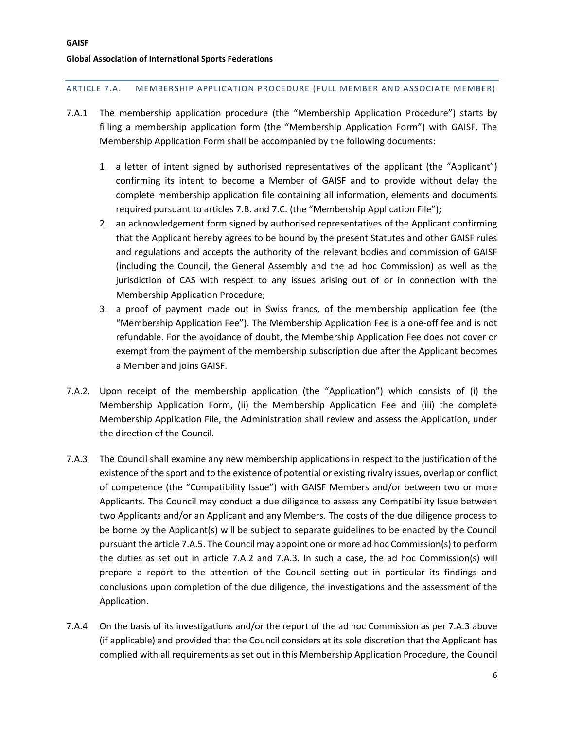#### <span id="page-5-0"></span>ARTICLE 7.A. MEMBERSHIP APPLICATION PROCEDURE (FULL MEMBER AND ASSOCIATE MEMBER)

- 7.A.1 The membership application procedure (the "Membership Application Procedure") starts by filling a membership application form (the "Membership Application Form") with GAISF. The Membership Application Form shall be accompanied by the following documents:
	- 1. a letter of intent signed by authorised representatives of the applicant (the "Applicant") confirming its intent to become a Member of GAISF and to provide without delay the complete membership application file containing all information, elements and documents required pursuant to articles 7.B. and 7.C. (the "Membership Application File");
	- 2. an acknowledgement form signed by authorised representatives of the Applicant confirming that the Applicant hereby agrees to be bound by the present Statutes and other GAISF rules and regulations and accepts the authority of the relevant bodies and commission of GAISF (including the Council, the General Assembly and the ad hoc Commission) as well as the jurisdiction of CAS with respect to any issues arising out of or in connection with the Membership Application Procedure;
	- 3. a proof of payment made out in Swiss francs, of the membership application fee (the "Membership Application Fee"). The Membership Application Fee is a one-off fee and is not refundable. For the avoidance of doubt, the Membership Application Fee does not cover or exempt from the payment of the membership subscription due after the Applicant becomes a Member and joins GAISF.
- 7.A.2. Upon receipt of the membership application (the "Application") which consists of (i) the Membership Application Form, (ii) the Membership Application Fee and (iii) the complete Membership Application File, the Administration shall review and assess the Application, under the direction of the Council.
- 7.A.3 The Council shall examine any new membership applications in respect to the justification of the existence of the sport and to the existence of potential or existing rivalry issues, overlap or conflict of competence (the "Compatibility Issue") with GAISF Members and/or between two or more Applicants. The Council may conduct a due diligence to assess any Compatibility Issue between two Applicants and/or an Applicant and any Members. The costs of the due diligence process to be borne by the Applicant(s) will be subject to separate guidelines to be enacted by the Council pursuant the article 7.A.5. The Council may appoint one or more ad hoc Commission(s) to perform the duties as set out in article 7.A.2 and 7.A.3. In such a case, the ad hoc Commission(s) will prepare a report to the attention of the Council setting out in particular its findings and conclusions upon completion of the due diligence, the investigations and the assessment of the Application.
- 7.A.4 On the basis of its investigations and/or the report of the ad hoc Commission as per 7.A.3 above (if applicable) and provided that the Council considers at its sole discretion that the Applicant has complied with all requirements as set out in this Membership Application Procedure, the Council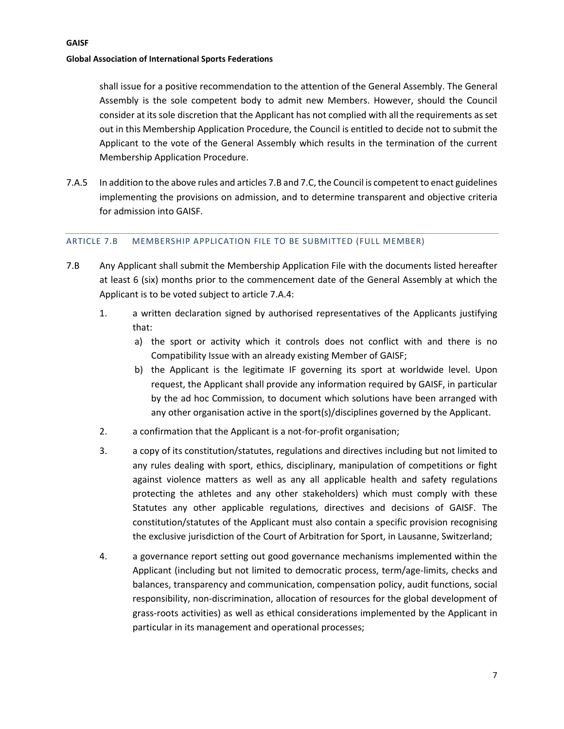shall issue for a positive recommendation to the attention of the General Assembly. The General Assembly is the sole competent body to admit new Members. However, should the Council consider at its sole discretion that the Applicant has not complied with all the requirements as set out in this Membership Application Procedure, the Council is entitled to decide not to submit the Applicant to the vote of the General Assembly which results in the termination of the current Membership Application Procedure.

7.A.5 In addition to the above rules and articles 7.B and 7.C, the Council is competent to enact guidelines implementing the provisions on admission, and to determine transparent and objective criteria for admission into GAISF.

#### <span id="page-6-0"></span>ARTICLE 7.B MEMBERSHIP APPLICATION FILE TO BE SUBMITTED (FULL MEMBER)

- 7.B Any Applicant shall submit the Membership Application File with the documents listed hereafter at least 6 (six) months prior to the commencement date of the General Assembly at which the Applicant is to be voted subject to article 7.A.4:
	- 1. a written declaration signed by authorised representatives of the Applicants justifying that:
		- a) the sport or activity which it controls does not conflict with and there is no Compatibility Issue with an already existing Member of GAISF;
		- b) the Applicant is the legitimate IF governing its sport at worldwide level. Upon request, the Applicant shall provide any information required by GAISF, in particular by the ad hoc Commission, to document which solutions have been arranged with any other organisation active in the sport(s)/disciplines governed by the Applicant.
	- 2. a confirmation that the Applicant is a not-for-profit organisation;
	- 3. a copy of its constitution/statutes, regulations and directives including but not limited to any rules dealing with sport, ethics, disciplinary, manipulation of competitions or fight against violence matters as well as any all applicable health and safety regulations protecting the athletes and any other stakeholders) which must comply with these Statutes any other applicable regulations, directives and decisions of GAISF. The constitution/statutes of the Applicant must also contain a specific provision recognising the exclusive jurisdiction of the Court of Arbitration for Sport, in Lausanne, Switzerland;
	- 4. a governance report setting out good governance mechanisms implemented within the Applicant (including but not limited to democratic process, term/age-limits, checks and balances, transparency and communication, compensation policy, audit functions, social responsibility, non-discrimination, allocation of resources for the global development of grass‐roots activities) as well as ethical considerations implemented by the Applicant in particular in its management and operational processes;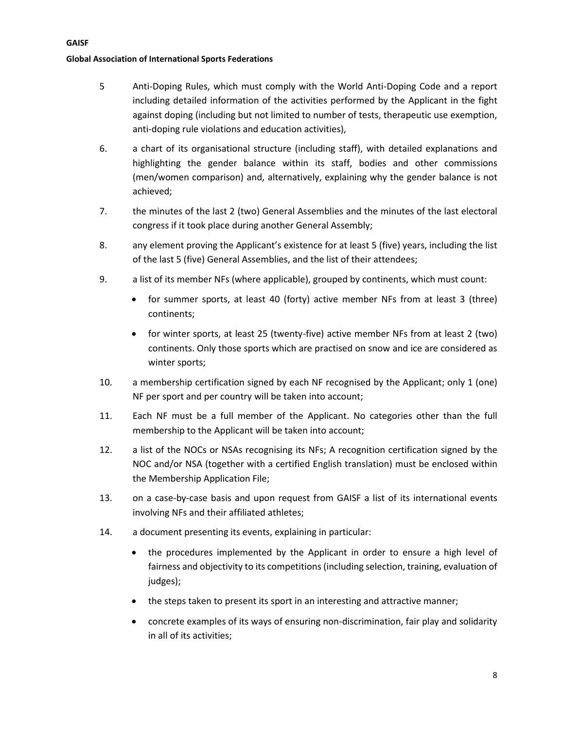- 5 Anti-Doping Rules, which must comply with the World Anti-Doping Code and a report including detailed information of the activities performed by the Applicant in the fight against doping (including but not limited to number of tests, therapeutic use exemption, anti-doping rule violations and education activities),
- 6. a chart of its organisational structure (including staff), with detailed explanations and highlighting the gender balance within its staff, bodies and other commissions (men/women comparison) and, alternatively, explaining why the gender balance is not achieved;
- 7. the minutes of the last 2 (two) General Assemblies and the minutes of the last electoral congress if it took place during another General Assembly;
- 8. any element proving the Applicant's existence for at least 5 (five) years, including the list of the last 5 (five) General Assemblies, and the list of their attendees;
- 9. a list of its member NFs (where applicable), grouped by continents, which must count:
	- for summer sports, at least 40 (forty) active member NFs from at least 3 (three) continents;
	- for winter sports, at least 25 (twenty-five) active member NFs from at least 2 (two) continents. Only those sports which are practised on snow and ice are considered as winter sports;
- 10. a membership certification signed by each NF recognised by the Applicant; only 1 (one) NF per sport and per country will be taken into account;
- 11. Each NF must be a full member of the Applicant. No categories other than the full membership to the Applicant will be taken into account;
- 12. a list of the NOCs or NSAs recognising its NFs; A recognition certification signed by the NOC and/or NSA (together with a certified English translation) must be enclosed within the Membership Application File;
- 13. on a case-by-case basis and upon request from GAISF a list of its international events involving NFs and their affiliated athletes;
- 14. a document presenting its events, explaining in particular:
	- the procedures implemented by the Applicant in order to ensure a high level of fairness and objectivity to its competitions (including selection, training, evaluation of judges);
	- the steps taken to present its sport in an interesting and attractive manner;
	- concrete examples of its ways of ensuring non-discrimination, fair play and solidarity in all of its activities;

#### **GAISF**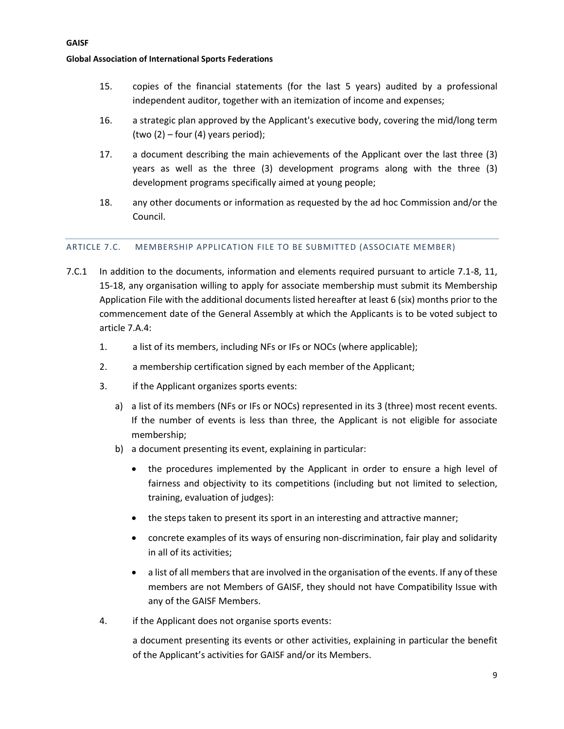- 15. copies of the financial statements (for the last 5 years) audited by a professional independent auditor, together with an itemization of income and expenses;
- 16. a strategic plan approved by the Applicant's executive body, covering the mid/long term (two  $(2)$  – four  $(4)$  years period);
- 17. a document describing the main achievements of the Applicant over the last three (3) years as well as the three (3) development programs along with the three (3) development programs specifically aimed at young people;
- 18. any other documents or information as requested by the ad hoc Commission and/or the Council.

#### <span id="page-8-0"></span>ARTICLE 7.C. MEMBERSHIP APPLICATION FILE TO BE SUBMITTED (ASSOCIATE MEMBER)

- 7.C.1 In addition to the documents, information and elements required pursuant to article 7.1-8, 11, 15-18, any organisation willing to apply for associate membership must submit its Membership Application File with the additional documents listed hereafter at least 6 (six) months prior to the commencement date of the General Assembly at which the Applicants is to be voted subject to article 7.A.4:
	- 1. a list of its members, including NFs or IFs or NOCs (where applicable);
	- 2. a membership certification signed by each member of the Applicant;
	- 3. if the Applicant organizes sports events:
		- a) a list of its members (NFs or IFs or NOCs) represented in its 3 (three) most recent events. If the number of events is less than three, the Applicant is not eligible for associate membership;
		- b) a document presenting its event, explaining in particular:
			- the procedures implemented by the Applicant in order to ensure a high level of fairness and objectivity to its competitions (including but not limited to selection, training, evaluation of judges):
			- the steps taken to present its sport in an interesting and attractive manner;
			- concrete examples of its ways of ensuring non-discrimination, fair play and solidarity in all of its activities;
			- a list of all members that are involved in the organisation of the events. If any of these members are not Members of GAISF, they should not have Compatibility Issue with any of the GAISF Members.
	- 4. if the Applicant does not organise sports events:

a document presenting its events or other activities, explaining in particular the benefit of the Applicant's activities for GAISF and/or its Members.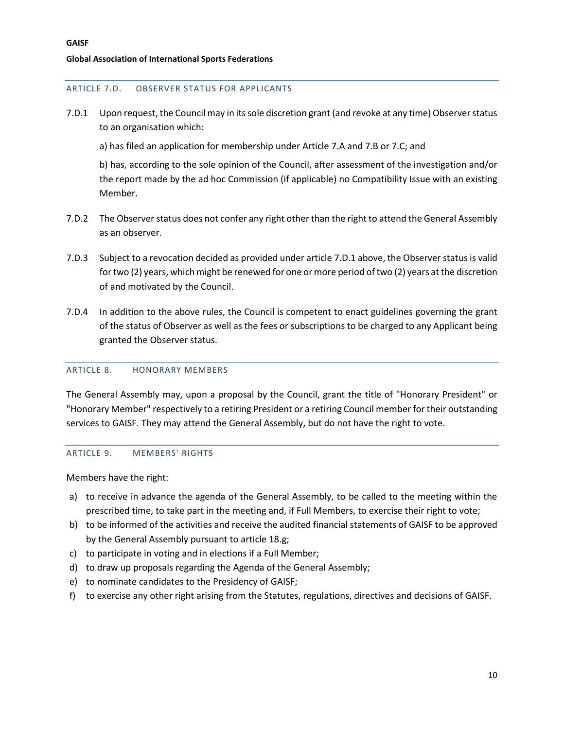#### <span id="page-9-0"></span>ARTICLE 7.D. OBSERVER STATUS FOR APPLICANTS

- 7.D.1 Upon request, the Council may in its sole discretion grant (and revoke at any time) Observer status to an organisation which:
	- a) has filed an application for membership under Article 7.A and 7.B or 7.C; and

b) has, according to the sole opinion of the Council, after assessment of the investigation and/or the report made by the ad hoc Commission (if applicable) no Compatibility Issue with an existing Member.

- 7.D.2 The Observer status does not confer any right other than the right to attend the General Assembly as an observer.
- 7.D.3 Subject to a revocation decided as provided under article 7.D.1 above, the Observer status is valid for two (2) years, which might be renewed for one or more period of two (2) years at the discretion of and motivated by the Council.
- 7.D.4 In addition to the above rules, the Council is competent to enact guidelines governing the grant of the status of Observer as well as the fees or subscriptions to be charged to any Applicant being granted the Observer status.

#### <span id="page-9-1"></span>ARTICLE 8. HONORARY MEMBERS

The General Assembly may, upon a proposal by the Council, grant the title of "Honorary President" or "Honorary Member" respectively to a retiring President or a retiring Council member for their outstanding services to GAISF. They may attend the General Assembly, but do not have the right to vote.

#### <span id="page-9-2"></span>ARTICLE 9. MEMBERS' RIGHTS

Members have the right:

- a) to receive in advance the agenda of the General Assembly, to be called to the meeting within the prescribed time, to take part in the meeting and, if Full Members, to exercise their right to vote;
- b) to be informed of the activities and receive the audited financial statements of GAISF to be approved by the General Assembly pursuant to article 18.g;
- c) to participate in voting and in elections if a Full Member;
- d) to draw up proposals regarding the Agenda of the General Assembly;
- e) to nominate candidates to the Presidency of GAISF;
- f) to exercise any other right arising from the Statutes, regulations, directives and decisions of GAISF.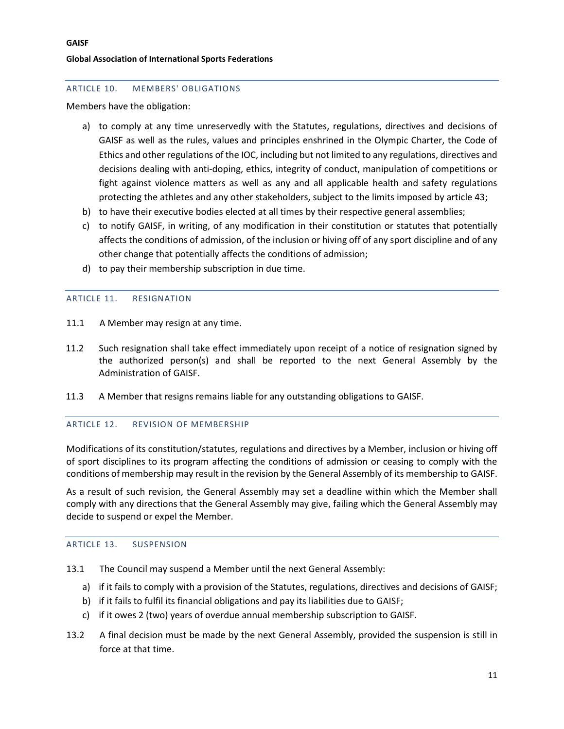#### <span id="page-10-0"></span>ARTICLE 10. MEMBERS' OBLIGATIONS

Members have the obligation:

- a) to comply at any time unreservedly with the Statutes, regulations, directives and decisions of GAISF as well as the rules, values and principles enshrined in the Olympic Charter, the Code of Ethics and other regulations of the IOC, including but not limited to any regulations, directives and decisions dealing with anti-doping, ethics, integrity of conduct, manipulation of competitions or fight against violence matters as well as any and all applicable health and safety regulations protecting the athletes and any other stakeholders, subject to the limits imposed by article 43;
- b) to have their executive bodies elected at all times by their respective general assemblies;
- c) to notify GAISF, in writing, of any modification in their constitution or statutes that potentially affects the conditions of admission, of the inclusion or hiving off of any sport discipline and of any other change that potentially affects the conditions of admission;
- d) to pay their membership subscription in due time.

#### <span id="page-10-1"></span>ARTICLE 11. RESIGNATION

- 11.1 A Member may resign at any time.
- 11.2 Such resignation shall take effect immediately upon receipt of a notice of resignation signed by the authorized person(s) and shall be reported to the next General Assembly by the Administration of GAISF.
- 11.3 A Member that resigns remains liable for any outstanding obligations to GAISF.

#### <span id="page-10-2"></span>ARTICLE 12. REVISION OF MEMBERSHIP

Modifications of its constitution/statutes, regulations and directives by a Member, inclusion or hiving off of sport disciplines to its program affecting the conditions of admission or ceasing to comply with the conditions of membership may result in the revision by the General Assembly of its membership to GAISF.

As a result of such revision, the General Assembly may set a deadline within which the Member shall comply with any directions that the General Assembly may give, failing which the General Assembly may decide to suspend or expel the Member.

#### <span id="page-10-3"></span>ARTICLE 13. SUSPENSION

- 13.1 The Council may suspend a Member until the next General Assembly:
	- a) if it fails to comply with a provision of the Statutes, regulations, directives and decisions of GAISF;
	- b) if it fails to fulfil its financial obligations and pay its liabilities due to GAISF;
	- c) if it owes 2 (two) years of overdue annual membership subscription to GAISF.
- 13.2 A final decision must be made by the next General Assembly, provided the suspension is still in force at that time.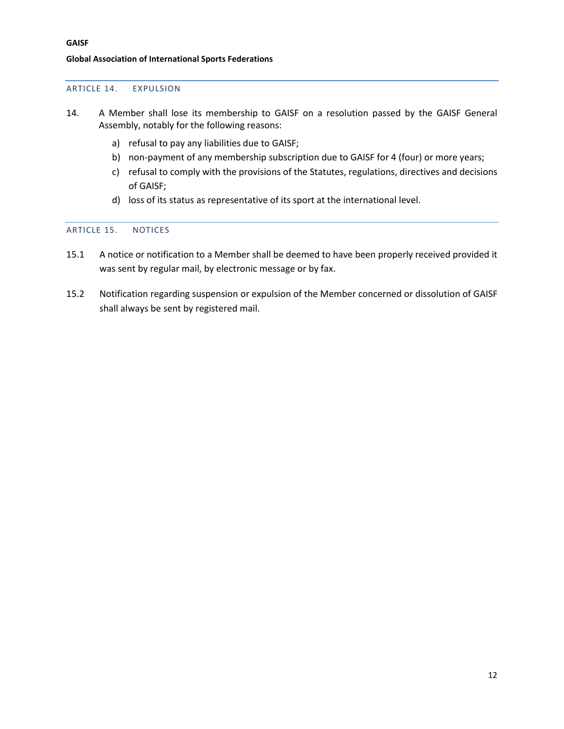#### <span id="page-11-0"></span>ARTICLE 14. EXPULSION

- 14. A Member shall lose its membership to GAISF on a resolution passed by the GAISF General Assembly, notably for the following reasons:
	- a) refusal to pay any liabilities due to GAISF;
	- b) non-payment of any membership subscription due to GAISF for 4 (four) or more years;
	- c) refusal to comply with the provisions of the Statutes, regulations, directives and decisions of GAISF;
	- d) loss of its status as representative of its sport at the international level.

#### <span id="page-11-1"></span>ARTICLE 15. NOTICES

- 15.1 A notice or notification to a Member shall be deemed to have been properly received provided it was sent by regular mail, by electronic message or by fax.
- 15.2 Notification regarding suspension or expulsion of the Member concerned or dissolution of GAISF shall always be sent by registered mail.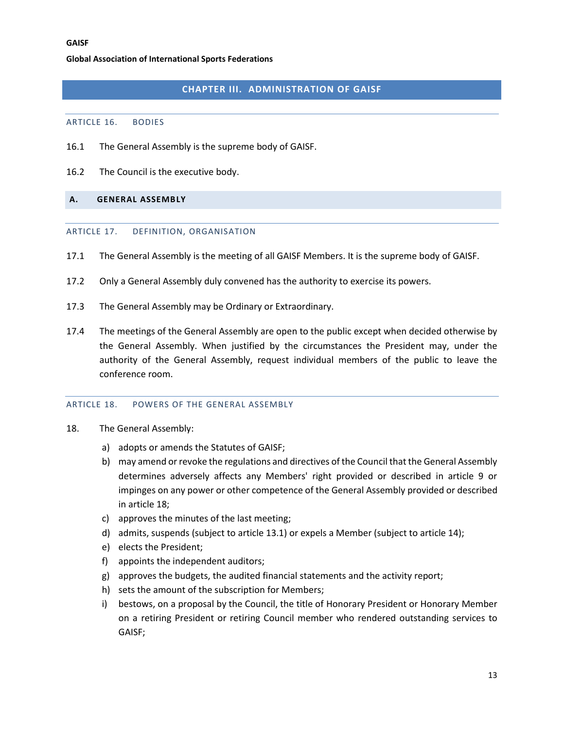## **CHAPTER III. ADMINISTRATION OF GAISF**

#### <span id="page-12-1"></span><span id="page-12-0"></span>ARTICLE 16. BODIES

- 16.1 The General Assembly is the supreme body of GAISF.
- 16.2 The Council is the executive body.

#### <span id="page-12-3"></span><span id="page-12-2"></span>**A. GENERAL ASSEMBLY**

#### ARTICLE 17. DEFINITION, ORGANISATION

- 17.1 The General Assembly is the meeting of all GAISF Members. It is the supreme body of GAISF.
- 17.2 Only a General Assembly duly convened has the authority to exercise its powers.
- 17.3 The General Assembly may be Ordinary or Extraordinary.
- 17.4 The meetings of the General Assembly are open to the public except when decided otherwise by the General Assembly. When justified by the circumstances the President may, under the authority of the General Assembly, request individual members of the public to leave the conference room.

#### <span id="page-12-4"></span>ARTICLE 18. POWERS OF THE GENERAL ASSEMBLY

- 18. The General Assembly:
	- a) adopts or amends the Statutes of GAISF;
	- b) may amend or revoke the regulations and directives of the Council that the General Assembly determines adversely affects any Members' right provided or described in article 9 or impinges on any power or other competence of the General Assembly provided or described in article 18;
	- c) approves the minutes of the last meeting;
	- d) admits, suspends (subject to article 13.1) or expels a Member (subject to article 14);
	- e) elects the President;
	- f) appoints the independent auditors;
	- g) approves the budgets, the audited financial statements and the activity report;
	- h) sets the amount of the subscription for Members;
	- i) bestows, on a proposal by the Council, the title of Honorary President or Honorary Member on a retiring President or retiring Council member who rendered outstanding services to GAISF;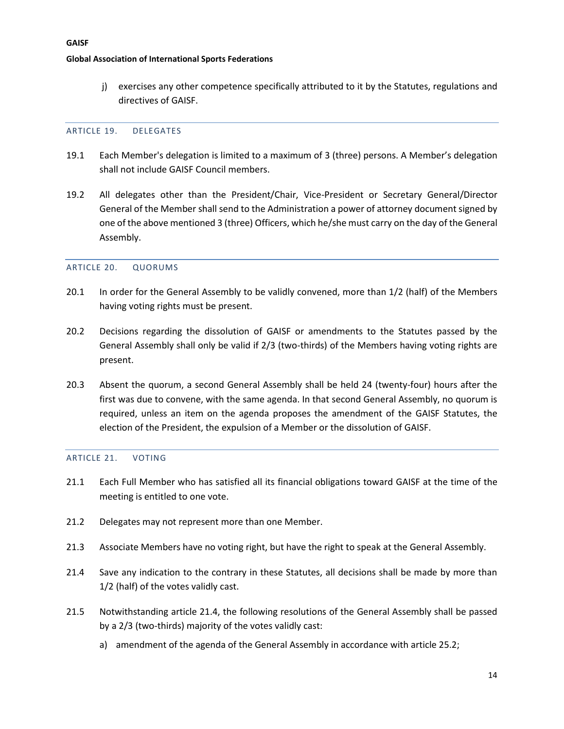j) exercises any other competence specifically attributed to it by the Statutes, regulations and directives of GAISF.

#### <span id="page-13-0"></span>ARTICLE 19. DELEGATES

- 19.1 Each Member's delegation is limited to a maximum of 3 (three) persons. A Member's delegation shall not include GAISF Council members.
- 19.2 All delegates other than the President/Chair, Vice-President or Secretary General/Director General of the Member shall send to the Administration a power of attorney document signed by one of the above mentioned 3 (three) Officers, which he/she must carry on the day of the General Assembly.

#### <span id="page-13-1"></span>ARTICLE 20. QUORUMS

- 20.1 In order for the General Assembly to be validly convened, more than 1/2 (half) of the Members having voting rights must be present.
- 20.2 Decisions regarding the dissolution of GAISF or amendments to the Statutes passed by the General Assembly shall only be valid if 2/3 (two-thirds) of the Members having voting rights are present.
- 20.3 Absent the quorum, a second General Assembly shall be held 24 (twenty-four) hours after the first was due to convene, with the same agenda. In that second General Assembly, no quorum is required, unless an item on the agenda proposes the amendment of the GAISF Statutes, the election of the President, the expulsion of a Member or the dissolution of GAISF.

#### <span id="page-13-2"></span>ARTICLE 21. VOTING

- 21.1 Each Full Member who has satisfied all its financial obligations toward GAISF at the time of the meeting is entitled to one vote.
- 21.2 Delegates may not represent more than one Member.
- 21.3 Associate Members have no voting right, but have the right to speak at the General Assembly.
- 21.4 Save any indication to the contrary in these Statutes, all decisions shall be made by more than 1/2 (half) of the votes validly cast.
- 21.5 Notwithstanding article 21.4, the following resolutions of the General Assembly shall be passed by a 2/3 (two-thirds) majority of the votes validly cast:
	- a) amendment of the agenda of the General Assembly in accordance with article 25.2;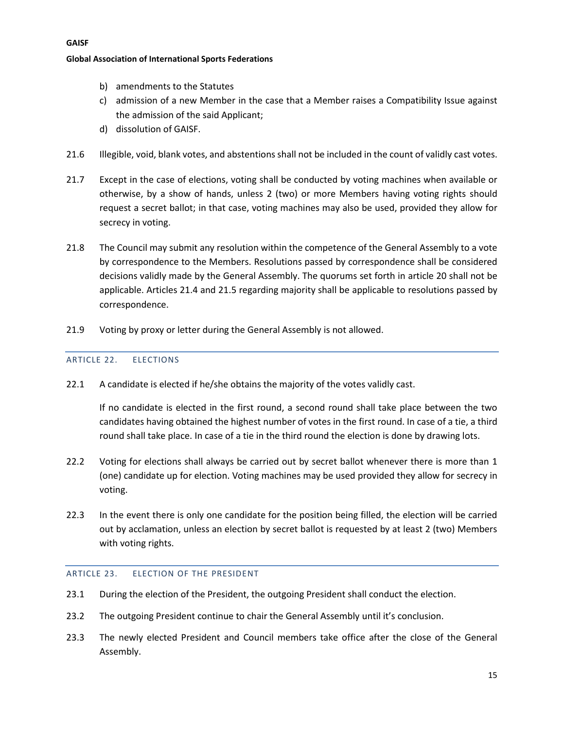- b) amendments to the Statutes
- c) admission of a new Member in the case that a Member raises a Compatibility Issue against the admission of the said Applicant;
- d) dissolution of GAISF.
- 21.6 Illegible, void, blank votes, and abstentions shall not be included in the count of validly cast votes.
- 21.7 Except in the case of elections, voting shall be conducted by voting machines when available or otherwise, by a show of hands, unless 2 (two) or more Members having voting rights should request a secret ballot; in that case, voting machines may also be used, provided they allow for secrecy in voting.
- 21.8 The Council may submit any resolution within the competence of the General Assembly to a vote by correspondence to the Members. Resolutions passed by correspondence shall be considered decisions validly made by the General Assembly. The quorums set forth in article 20 shall not be applicable. Articles 21.4 and 21.5 regarding majority shall be applicable to resolutions passed by correspondence.
- <span id="page-14-0"></span>21.9 Voting by proxy or letter during the General Assembly is not allowed.

#### ARTICLE 22. ELECTIONS

22.1 A candidate is elected if he/she obtains the majority of the votes validly cast.

If no candidate is elected in the first round, a second round shall take place between the two candidates having obtained the highest number of votes in the first round. In case of a tie, a third round shall take place. In case of a tie in the third round the election is done by drawing lots.

- 22.2 Voting for elections shall always be carried out by secret ballot whenever there is more than 1 (one) candidate up for election. Voting machines may be used provided they allow for secrecy in voting.
- 22.3 In the event there is only one candidate for the position being filled, the election will be carried out by acclamation, unless an election by secret ballot is requested by at least 2 (two) Members with voting rights.

#### <span id="page-14-1"></span>ARTICLE 23. ELECTION OF THE PRESIDENT

- 23.1 During the election of the President, the outgoing President shall conduct the election.
- 23.2 The outgoing President continue to chair the General Assembly until it's conclusion.
- 23.3 The newly elected President and Council members take office after the close of the General Assembly.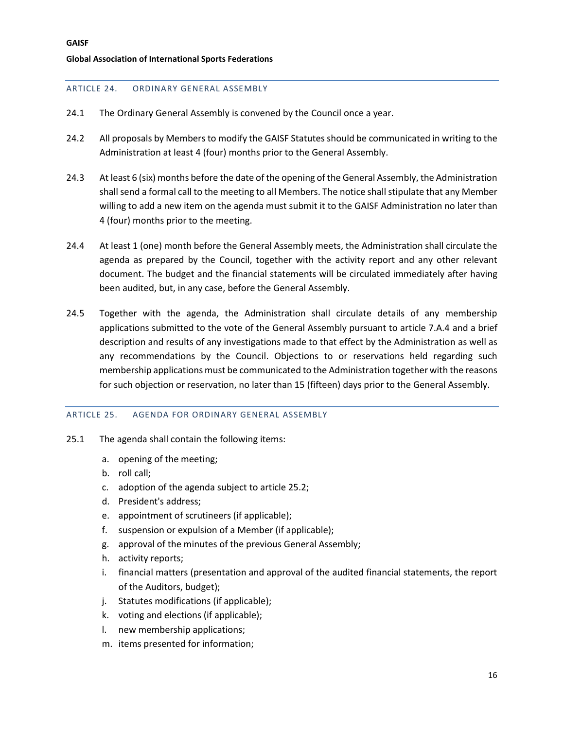#### <span id="page-15-0"></span>ARTICLE 24. ORDINARY GENERAL ASSEMBLY

- 24.1 The Ordinary General Assembly is convened by the Council once a year.
- 24.2 All proposals by Members to modify the GAISF Statutes should be communicated in writing to the Administration at least 4 (four) months prior to the General Assembly.
- 24.3 At least 6 (six) months before the date of the opening of the General Assembly, the Administration shall send a formal call to the meeting to all Members. The notice shall stipulate that any Member willing to add a new item on the agenda must submit it to the GAISF Administration no later than 4 (four) months prior to the meeting.
- 24.4 At least 1 (one) month before the General Assembly meets, the Administration shall circulate the agenda as prepared by the Council, together with the activity report and any other relevant document. The budget and the financial statements will be circulated immediately after having been audited, but, in any case, before the General Assembly.
- 24.5 Together with the agenda, the Administration shall circulate details of any membership applications submitted to the vote of the General Assembly pursuant to article 7.A.4 and a brief description and results of any investigations made to that effect by the Administration as well as any recommendations by the Council. Objections to or reservations held regarding such membership applications must be communicated to the Administration together with the reasons for such objection or reservation, no later than 15 (fifteen) days prior to the General Assembly.

#### <span id="page-15-1"></span>ARTICLE 25. AGENDA FOR ORDINARY GENERAL ASSEMBLY

- 25.1 The agenda shall contain the following items:
	- a. opening of the meeting;
	- b. roll call;
	- c. adoption of the agenda subject to article 25.2;
	- d. President's address;
	- e. appointment of scrutineers (if applicable);
	- f. suspension or expulsion of a Member (if applicable);
	- g. approval of the minutes of the previous General Assembly;
	- h. activity reports;
	- i. financial matters (presentation and approval of the audited financial statements, the report of the Auditors, budget);
	- j. Statutes modifications (if applicable);
	- k. voting and elections (if applicable);
	- l. new membership applications;
	- m. items presented for information;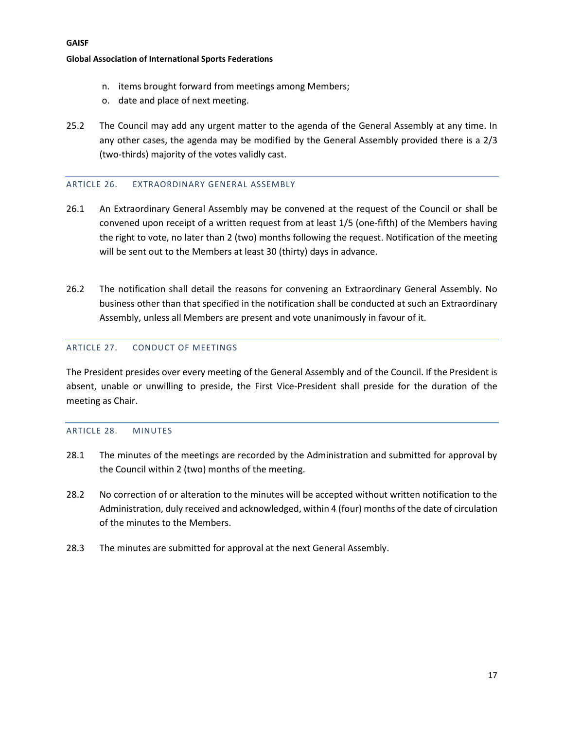- n. items brought forward from meetings among Members;
- o. date and place of next meeting.
- 25.2 The Council may add any urgent matter to the agenda of the General Assembly at any time. In any other cases, the agenda may be modified by the General Assembly provided there is a 2/3 (two-thirds) majority of the votes validly cast.

#### <span id="page-16-0"></span>ARTICLE 26. EXTRAORDINARY GENERAL ASSEMBLY

- 26.1 An Extraordinary General Assembly may be convened at the request of the Council or shall be convened upon receipt of a written request from at least 1/5 (one-fifth) of the Members having the right to vote, no later than 2 (two) months following the request. Notification of the meeting will be sent out to the Members at least 30 (thirty) days in advance.
- 26.2 The notification shall detail the reasons for convening an Extraordinary General Assembly. No business other than that specified in the notification shall be conducted at such an Extraordinary Assembly, unless all Members are present and vote unanimously in favour of it.

#### <span id="page-16-1"></span>ARTICLE 27. CONDUCT OF MEETINGS

The President presides over every meeting of the General Assembly and of the Council. If the President is absent, unable or unwilling to preside, the First Vice-President shall preside for the duration of the meeting as Chair.

#### <span id="page-16-2"></span>ARTICLE 28. MINUTES

- 28.1 The minutes of the meetings are recorded by the Administration and submitted for approval by the Council within 2 (two) months of the meeting.
- 28.2 No correction of or alteration to the minutes will be accepted without written notification to the Administration, duly received and acknowledged, within 4 (four) months of the date of circulation of the minutes to the Members.
- 28.3 The minutes are submitted for approval at the next General Assembly.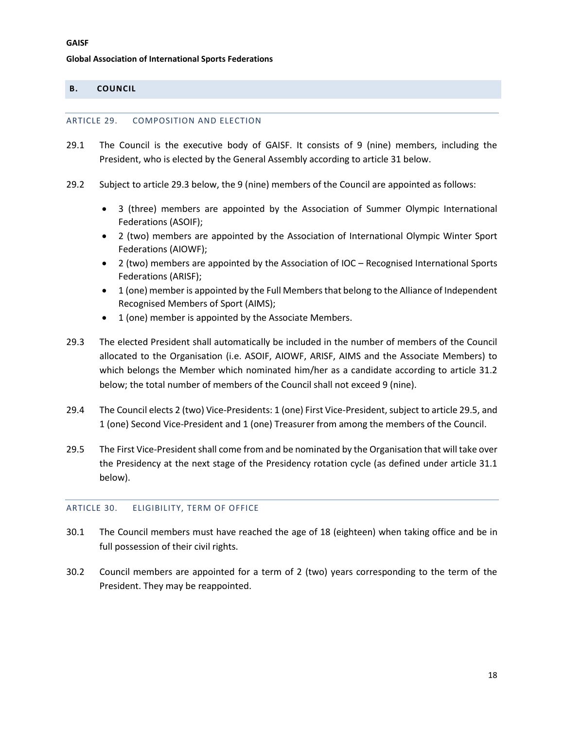### <span id="page-17-1"></span><span id="page-17-0"></span>**B. COUNCIL**

#### ARTICLE 29. COMPOSITION AND ELECTION

- 29.1 The Council is the executive body of GAISF. It consists of 9 (nine) members, including the President, who is elected by the General Assembly according to article 31 below.
- 29.2 Subject to article 29.3 below, the 9 (nine) members of the Council are appointed as follows:
	- 3 (three) members are appointed by the Association of Summer Olympic International Federations (ASOIF);
	- 2 (two) members are appointed by the Association of International Olympic Winter Sport Federations (AIOWF);
	- 2 (two) members are appointed by the Association of IOC Recognised International Sports Federations (ARISF);
	- 1 (one) member is appointed by the Full Members that belong to the Alliance of Independent Recognised Members of Sport (AIMS);
	- 1 (one) member is appointed by the Associate Members.
- 29.3 The elected President shall automatically be included in the number of members of the Council allocated to the Organisation (i.e. ASOIF, AIOWF, ARISF, AIMS and the Associate Members) to which belongs the Member which nominated him/her as a candidate according to article 31.2 below; the total number of members of the Council shall not exceed 9 (nine).
- 29.4 The Council elects 2 (two) Vice-Presidents: 1 (one) First Vice-President, subject to article 29.5, and 1 (one) Second Vice-President and 1 (one) Treasurer from among the members of the Council.
- 29.5 The First Vice-President shall come from and be nominated by the Organisation that will take over the Presidency at the next stage of the Presidency rotation cycle (as defined under article 31.1 below).

#### <span id="page-17-2"></span>ARTICLE 30. ELIGIBILITY, TERM OF OFFICE

- 30.1 The Council members must have reached the age of 18 (eighteen) when taking office and be in full possession of their civil rights.
- 30.2 Council members are appointed for a term of 2 (two) years corresponding to the term of the President. They may be reappointed.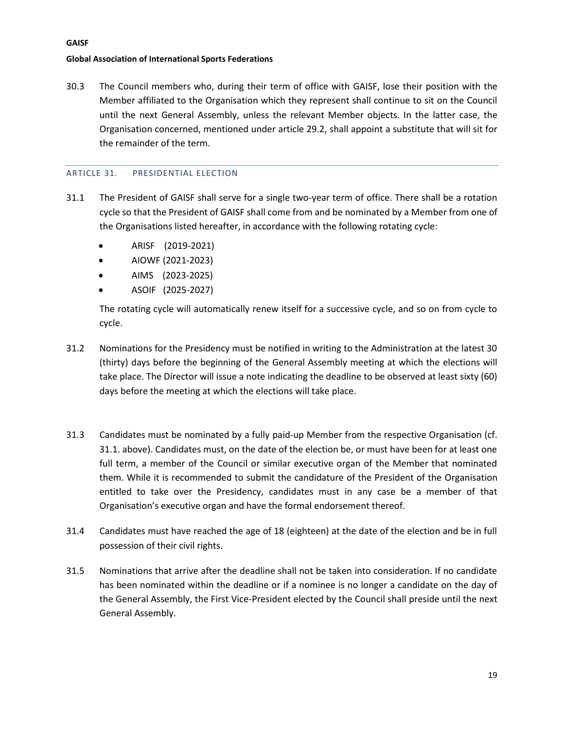**GAISF**

30.3 The Council members who, during their term of office with GAISF, lose their position with the Member affiliated to the Organisation which they represent shall continue to sit on the Council until the next General Assembly, unless the relevant Member objects. In the latter case, the Organisation concerned, mentioned under article 29.2, shall appoint a substitute that will sit for the remainder of the term.

#### <span id="page-18-0"></span>ARTICLE 31. PRESIDENTIAL ELECTION

- 31.1 The President of GAISF shall serve for a single two-year term of office. There shall be a rotation cycle so that the President of GAISF shall come from and be nominated by a Member from one of the Organisations listed hereafter, in accordance with the following rotating cycle:
	- ARISF (2019-2021)
	- AIOWF (2021-2023)
	- AIMS (2023-2025)
	- ASOIF (2025-2027)

The rotating cycle will automatically renew itself for a successive cycle, and so on from cycle to cycle.

- 31.2 Nominations for the Presidency must be notified in writing to the Administration at the latest 30 (thirty) days before the beginning of the General Assembly meeting at which the elections will take place. The Director will issue a note indicating the deadline to be observed at least sixty (60) days before the meeting at which the elections will take place.
- 31.3 Candidates must be nominated by a fully paid-up Member from the respective Organisation (cf. 31.1. above). Candidates must, on the date of the election be, or must have been for at least one full term, a member of the Council or similar executive organ of the Member that nominated them. While it is recommended to submit the candidature of the President of the Organisation entitled to take over the Presidency, candidates must in any case be a member of that Organisation's executive organ and have the formal endorsement thereof.
- 31.4 Candidates must have reached the age of 18 (eighteen) at the date of the election and be in full possession of their civil rights.
- 31.5 Nominations that arrive after the deadline shall not be taken into consideration. If no candidate has been nominated within the deadline or if a nominee is no longer a candidate on the day of the General Assembly, the First Vice-President elected by the Council shall preside until the next General Assembly.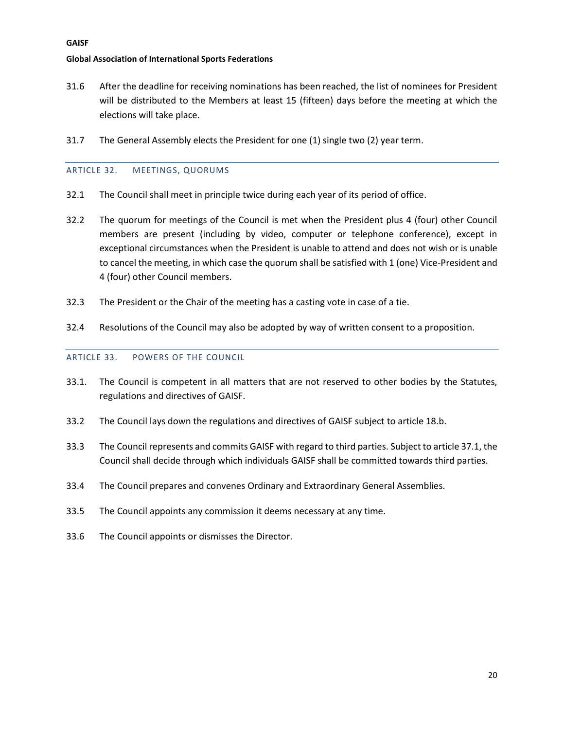#### **GAISF**

#### **Global Association of International Sports Federations**

- 31.6 After the deadline for receiving nominations has been reached, the list of nominees for President will be distributed to the Members at least 15 (fifteen) days before the meeting at which the elections will take place.
- <span id="page-19-0"></span>31.7 The General Assembly elects the President for one (1) single two (2) year term.

#### ARTICLE 32. MEETINGS, QUORUMS

- 32.1 The Council shall meet in principle twice during each year of its period of office.
- 32.2 The quorum for meetings of the Council is met when the President plus 4 (four) other Council members are present (including by video, computer or telephone conference), except in exceptional circumstances when the President is unable to attend and does not wish or is unable to cancel the meeting, in which case the quorum shall be satisfied with 1 (one) Vice-President and 4 (four) other Council members.
- 32.3 The President or the Chair of the meeting has a casting vote in case of a tie.
- <span id="page-19-1"></span>32.4 Resolutions of the Council may also be adopted by way of written consent to a proposition.

#### ARTICLE 33. POWERS OF THE COUNCIL

- 33.1. The Council is competent in all matters that are not reserved to other bodies by the Statutes, regulations and directives of GAISF.
- 33.2 The Council lays down the regulations and directives of GAISF subject to article 18.b.
- 33.3 The Council represents and commits GAISF with regard to third parties. Subject to article 37.1, the Council shall decide through which individuals GAISF shall be committed towards third parties.
- 33.4 The Council prepares and convenes Ordinary and Extraordinary General Assemblies.
- 33.5 The Council appoints any commission it deems necessary at any time.
- 33.6 The Council appoints or dismisses the Director.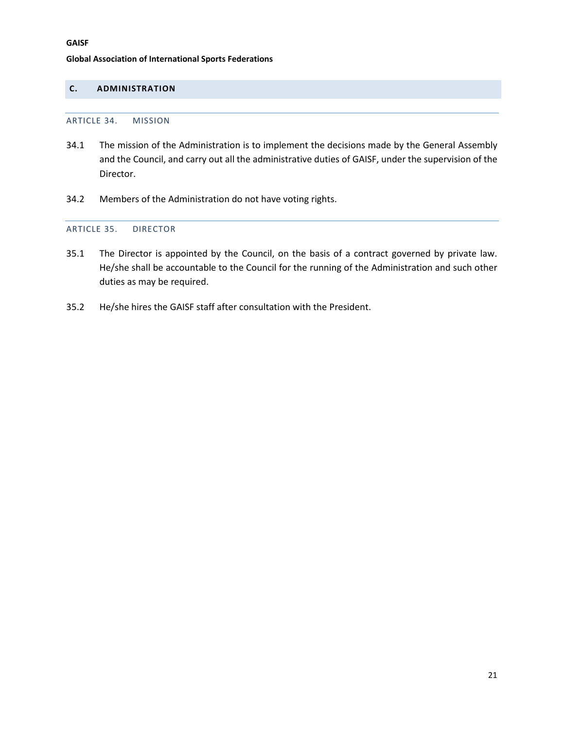### <span id="page-20-1"></span><span id="page-20-0"></span>**C. ADMINISTRATION**

#### ARTICLE 34. MISSION

- 34.1 The mission of the Administration is to implement the decisions made by the General Assembly and the Council, and carry out all the administrative duties of GAISF, under the supervision of the Director.
- <span id="page-20-2"></span>34.2 Members of the Administration do not have voting rights.

#### ARTICLE 35. DIRECTOR

- 35.1 The Director is appointed by the Council, on the basis of a contract governed by private law. He/she shall be accountable to the Council for the running of the Administration and such other duties as may be required.
- 35.2 He/she hires the GAISF staff after consultation with the President.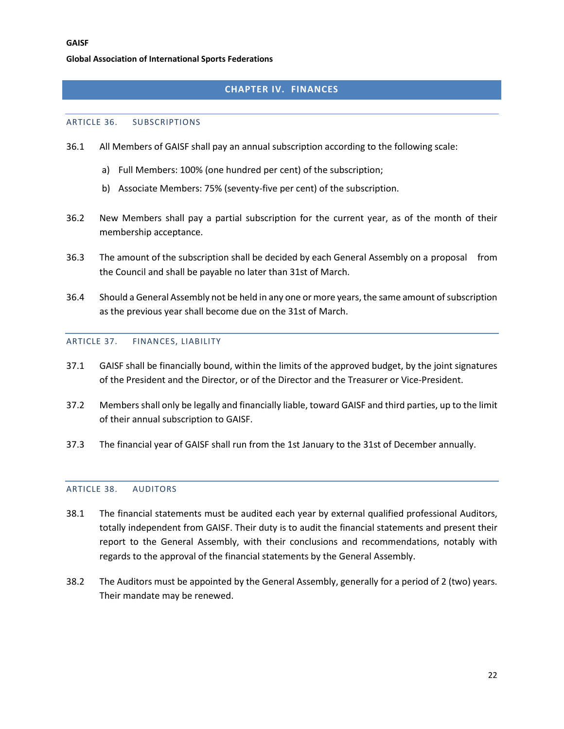## **CHAPTER IV. FINANCES**

#### <span id="page-21-1"></span><span id="page-21-0"></span>ARTICLE 36. SUBSCRIPTIONS

- 36.1 All Members of GAISF shall pay an annual subscription according to the following scale:
	- a) Full Members: 100% (one hundred per cent) of the subscription;
	- b) Associate Members: 75% (seventy-five per cent) of the subscription.
- 36.2 New Members shall pay a partial subscription for the current year, as of the month of their membership acceptance.
- 36.3 The amount of the subscription shall be decided by each General Assembly on a proposal from the Council and shall be payable no later than 31st of March.
- 36.4 Should a General Assembly not be held in any one or more years, the same amount of subscription as the previous year shall become due on the 31st of March.

#### <span id="page-21-2"></span>ARTICLE 37. FINANCES, LIABILITY

- 37.1 GAISF shall be financially bound, within the limits of the approved budget, by the joint signatures of the President and the Director, or of the Director and the Treasurer or Vice-President.
- 37.2 Members shall only be legally and financially liable, toward GAISF and third parties, up to the limit of their annual subscription to GAISF.
- 37.3 The financial year of GAISF shall run from the 1st January to the 31st of December annually.

#### <span id="page-21-3"></span>ARTICLE 38. AUDITORS

- 38.1 The financial statements must be audited each year by external qualified professional Auditors, totally independent from GAISF. Their duty is to audit the financial statements and present their report to the General Assembly, with their conclusions and recommendations, notably with regards to the approval of the financial statements by the General Assembly.
- 38.2 The Auditors must be appointed by the General Assembly, generally for a period of 2 (two) years. Their mandate may be renewed.